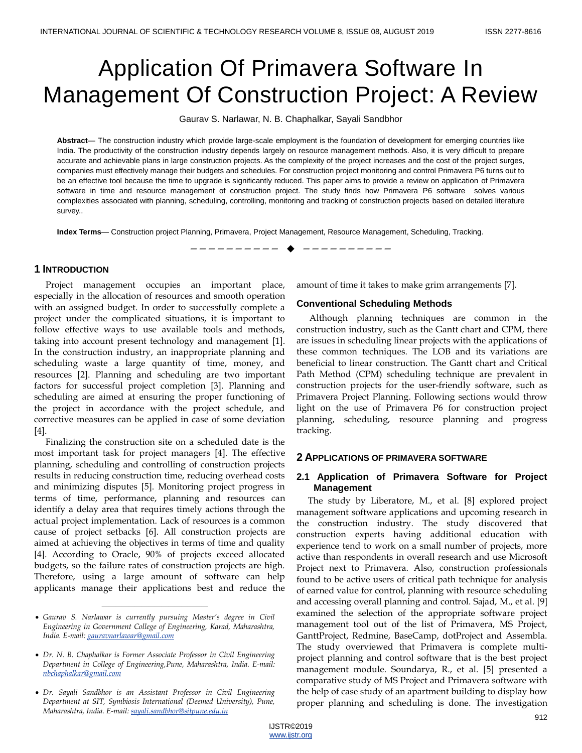# Application Of Primavera Software In Management Of Construction Project: A Review

Gaurav S. Narlawar, N. B. Chaphalkar, Sayali Sandbhor

**Abstract**— The construction industry which provide large-scale employment is the foundation of development for emerging countries like India. The productivity of the construction industry depends largely on resource management methods. Also, it is very difficult to prepare accurate and achievable plans in large construction projects. As the complexity of the project increases and the cost of the project surges, companies must effectively manage their budgets and schedules. For construction project monitoring and control Primavera P6 turns out to be an effective tool because the time to upgrade is significantly reduced. This paper aims to provide a review on application of Primavera software in time and resource management of construction project. The study finds how Primavera P6 software solves various complexities associated with planning, scheduling, controlling, monitoring and tracking of construction projects based on detailed literature survey..

**Index Terms**— Construction project Planning, Primavera, Project Management, Resource Management, Scheduling, Tracking.

## **1 INTRODUCTION**

Project management occupies an important place, especially in the allocation of resources and smooth operation with an assigned budget. In order to successfully complete a project under the complicated situations, it is important to follow effective ways to use available tools and methods, taking into account present technology and management [1]. In the construction industry, an inappropriate planning and scheduling waste a large quantity of time, money, and resources [2]. Planning and scheduling are two important factors for successful project completion [3]. Planning and scheduling are aimed at ensuring the proper functioning of the project in accordance with the project schedule, and corrective measures can be applied in case of some deviation [4].

Finalizing the construction site on a scheduled date is the most important task for project managers [4]. The effective planning, scheduling and controlling of construction projects results in reducing construction time, reducing overhead costs and minimizing disputes [5]. Monitoring project progress in terms of time, performance, planning and resources can identify a delay area that requires timely actions through the actual project implementation. Lack of resources is a common cause of project setbacks [6]. All construction projects are aimed at achieving the objectives in terms of time and quality [4]. According to Oracle, 90% of projects exceed allocated budgets, so the failure rates of construction projects are high. Therefore, using a large amount of software can help applicants manage their applications best and reduce the

————————————————

amount of time it takes to make grim arrangements [7].

#### **Conventional Scheduling Methods**

—————————— ——————————

Although planning techniques are common in the construction industry, such as the Gantt chart and CPM, there are issues in scheduling linear projects with the applications of these common techniques. The LOB and its variations are beneficial to linear construction. The Gantt chart and Critical Path Method (CPM) scheduling technique are prevalent in construction projects for the user-friendly software, such as Primavera Project Planning. Following sections would throw light on the use of Primavera P6 for construction project planning, scheduling, resource planning and progress tracking.

#### **2 APPLICATIONS OF PRIMAVERA SOFTWARE**

## **2.1 Application of Primavera Software for Project Management**

The study by Liberatore, M., et al. [8] explored project management software applications and upcoming research in the construction industry. The study discovered that construction experts having additional education with experience tend to work on a small number of projects, more active than respondents in overall research and use Microsoft Project next to Primavera. Also, construction professionals found to be active users of critical path technique for analysis of earned value for control, planning with resource scheduling and accessing overall planning and control. Sajad, M., et al. [9] examined the selection of the appropriate software project management tool out of the list of Primavera, MS Project, GanttProject, Redmine, BaseCamp, dotProject and Assembla. The study overviewed that Primavera is complete multiproject planning and control software that is the best project management module. Soundarya, R., et al. [5] presented a comparative study of MS Project and Primavera software with the help of case study of an apartment building to display how proper planning and scheduling is done. The investigation

*Gaurav S. Narlawar is currently pursuing Master's degree in Civil Engineering in Government College of Engineering, Karad, Maharashtra, India. E-mail: [gauravnarlawar@gmail.com](mailto:gauravnarlawar@gmail.com)*

*Dr. N. B. Chaphalkar is Former Associate Professor in Civil Engineering Department in College of Engineering,Pune, Maharashtra, India. E-mail: [nbchaphalkar@gmail.com](mailto:nbchaphalkar@gmail.com)*

*Dr. Sayali Sandbhor is an Assistant Professor in Civil Engineering Department at SIT, Symbiosis International (Deemed University), Pune, Maharashtra, India. E-mail[: sayali.sandbhor@sitpune.edu.in](mailto:sayali.sandbhor@sitpune.edu.in)*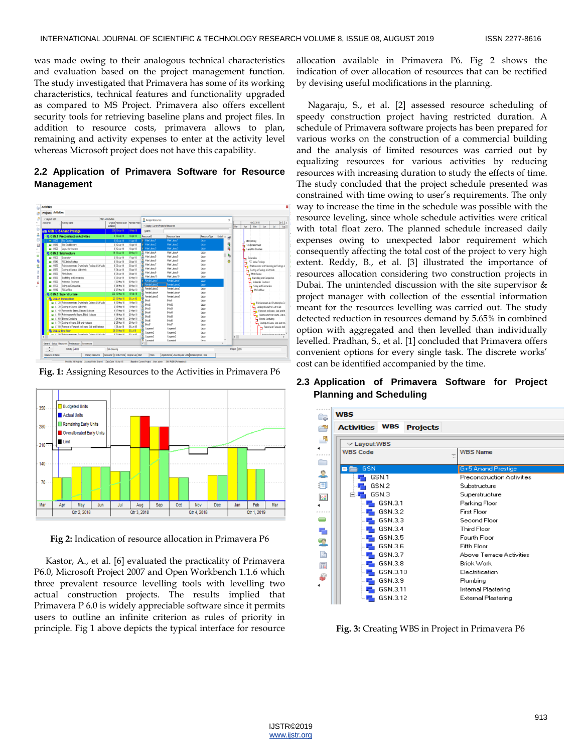was made owing to their analogous technical characteristics and evaluation based on the project management function. The study investigated that Primavera has some of its working characteristics, technical features and functionality upgraded as compared to MS Project. Primavera also offers excellent security tools for retrieving baseline plans and project files. In addition to resource costs, primavera allows to plan, remaining and activity expenses to enter at the activity level whereas Microsoft project does not have this capability.

# **2.2 Application of Primavera Software for Resource Management**



**Fig. 1:** Assigning Resources to the Activities in Primavera P6



**Fig 2:** Indication of resource allocation in Primavera P6

Kastor, A., et al. [6] evaluated the practicality of Primavera P6.0, Microsoft Project 2007 and Open Workbench 1.1.6 which three prevalent resource levelling tools with levelling two actual construction projects. The results implied that Primavera P 6.0 is widely appreciable software since it permits users to outline an infinite criterion as rules of priority in principle. Fig 1 above depicts the typical interface for resource

allocation available in Primavera P6. Fig 2 shows the indication of over allocation of resources that can be rectified by devising useful modifications in the planning.

Nagaraju, S., et al. [2] assessed resource scheduling of speedy construction project having restricted duration. A schedule of Primavera software projects has been prepared for various works on the construction of a commercial building and the analysis of limited resources was carried out by equalizing resources for various activities by reducing resources with increasing duration to study the effects of time. The study concluded that the project schedule presented was constrained with time owing to user's requirements. The only way to increase the time in the schedule was possible with the resource leveling, since whole schedule activities were critical with total float zero. The planned schedule increased daily expenses owing to unexpected labor requirement which consequently affecting the total cost of the project to very high extent. Reddy, B., et al. [3] illustrated the importance of resources allocation considering two construction projects in Dubai. The unintended discussion with the site supervisor & project manager with collection of the essential information meant for the resources levelling was carried out. The study detected reduction in resources demand by 5.65% in combined option with aggregated and then levelled than individually levelled. Pradhan, S., et al. [1] concluded that Primavera offers convenient options for every single task. The discrete works' cost can be identified accompanied by the time.

# **2.3 Application of Primavera Software for Project Planning and Scheduling**

| <b>WBS</b><br><b>La</b> |                    |            |                 |                            |  |
|-------------------------|--------------------|------------|-----------------|----------------------------|--|
|                         | <b>Activities</b>  | <b>WBS</b> | <b>Projects</b> |                            |  |
|                         | $\vee$ Layout: WBS |            |                 |                            |  |
|                         | <b>WBS Code</b>    |            |                 | <b>WBS Name</b><br>Έ       |  |
|                         |                    |            |                 |                            |  |
|                         | <b>GSN</b>         |            |                 | G+5 Anand Prestige         |  |
|                         |                    | GSN.1      |                 | Preconstruction Activities |  |
|                         |                    | GSN.2      |                 | Substructure               |  |
|                         |                    | GSN.3      |                 | Superstructure             |  |
|                         |                    | GSN.3.1    |                 | Parking Floor              |  |
|                         |                    | GSN.3.2    |                 | <b>First Floor</b>         |  |
|                         |                    | GSN.3.3    |                 | Second Floor               |  |
|                         |                    | GSN.3.4    |                 | <b>Third Floor</b>         |  |
|                         |                    | GSN.3.5    |                 | <b>Fourth Floor</b>        |  |
|                         |                    | GSN.3.6    |                 | Fifth Floor                |  |
|                         |                    | GSN.3.7    |                 | Above Terrace Activities   |  |
|                         |                    | GSN.3.8    |                 | <b>Brick Work</b>          |  |
|                         |                    | GSN.3.10   |                 | Electrification            |  |
|                         |                    | GSN.3.9    |                 | Plumbing                   |  |
|                         |                    | GSN.3.11   |                 | Internal Plastering        |  |
|                         |                    | GSN.3.12   |                 | External Plastering        |  |

**Fig. 3:** Creating WBS in Project in Primavera P6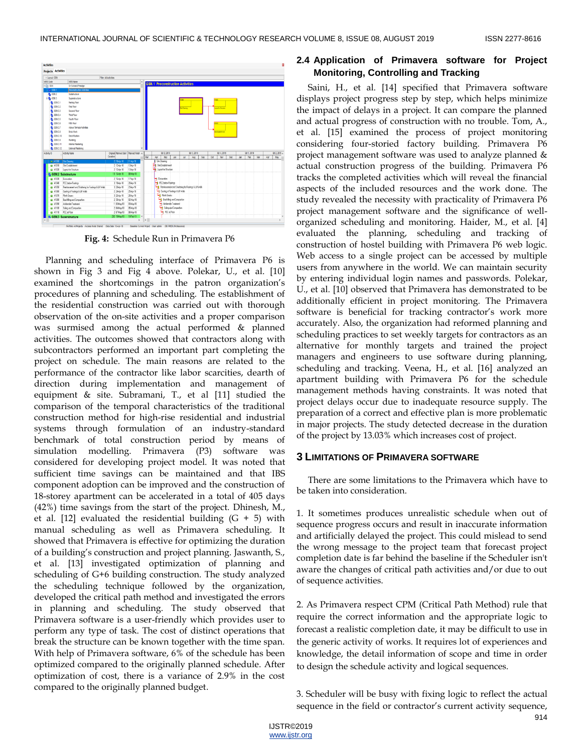

**Fig. 4:** Schedule Run in Primavera P6

Planning and scheduling interface of Primavera P6 is shown in Fig 3 and Fig 4 above. Polekar, U., et al. [10] examined the shortcomings in the patron organization's procedures of planning and scheduling. The establishment of the residential construction was carried out with thorough observation of the on-site activities and a proper comparison was surmised among the actual performed & planned activities. The outcomes showed that contractors along with subcontractors performed an important part completing the project on schedule. The main reasons are related to the performance of the contractor like labor scarcities, dearth of direction during implementation and management of equipment & site. Subramani, T., et al [11] studied the comparison of the temporal characteristics of the traditional construction method for high-rise residential and industrial systems through formulation of an industry-standard benchmark of total construction period by means of simulation modelling. Primavera (P3) software was considered for developing project model. It was noted that sufficient time savings can be maintained and that IBS component adoption can be improved and the construction of 18-storey apartment can be accelerated in a total of 405 days (42%) time savings from the start of the project. Dhinesh, M., et al. [12] evaluated the residential building  $(G + 5)$  with manual scheduling as well as Primavera scheduling. It showed that Primavera is effective for optimizing the duration of a building's construction and project planning. Jaswanth, S., et al. [13] investigated optimization of planning and scheduling of G+6 building construction. The study analyzed the scheduling technique followed by the organization, developed the critical path method and investigated the errors in planning and scheduling. The study observed that Primavera software is a user-friendly which provides user to perform any type of task. The cost of distinct operations that break the structure can be known together with the time span. With help of Primavera software, 6% of the schedule has been optimized compared to the originally planned schedule. After optimization of cost, there is a variance of 2.9% in the cost compared to the originally planned budget.

## **2.4 Application of Primavera software for Project Monitoring, Controlling and Tracking**

Saini, H., et al. [14] specified that Primavera software displays project progress step by step, which helps minimize the impact of delays in a project. It can compare the planned and actual progress of construction with no trouble. Tom, A., et al. [15] examined the process of project monitoring considering four-storied factory building. Primavera P6 project management software was used to analyze planned & actual construction progress of the building. Primavera P6 tracks the completed activities which will reveal the financial aspects of the included resources and the work done. The study revealed the necessity with practicality of Primavera P6 project management software and the significance of wellorganized scheduling and monitoring. Haider, M., et al. [4] evaluated the planning, scheduling and tracking of construction of hostel building with Primavera P6 web logic. Web access to a single project can be accessed by multiple users from anywhere in the world. We can maintain security by entering individual login names and passwords. Polekar, U., et al. [10] observed that Primavera has demonstrated to be additionally efficient in project monitoring. The Primavera software is beneficial for tracking contractor's work more accurately. Also, the organization had reformed planning and scheduling practices to set weekly targets for contractors as an alternative for monthly targets and trained the project managers and engineers to use software during planning, scheduling and tracking. Veena, H., et al. [16] analyzed an apartment building with Primavera P6 for the schedule management methods having constraints. It was noted that project delays occur due to inadequate resource supply. The preparation of a correct and effective plan is more problematic in major projects. The study detected decrease in the duration of the project by 13.03% which increases cost of project.

#### **3 LIMITATIONS OF PRIMAVERA SOFTWARE**

There are some limitations to the Primavera which have to be taken into consideration.

1. It sometimes produces unrealistic schedule when out of sequence progress occurs and result in inaccurate information and artificially delayed the project. This could mislead to send the wrong message to the project team that forecast project completion date is far behind the baseline if the Scheduler isn't aware the changes of critical path activities and/or due to out of sequence activities.

2. As Primavera respect CPM (Critical Path Method) rule that require the correct information and the appropriate logic to forecast a realistic completion date, it may be difficult to use in the generic activity of works. It requires lot of experiences and knowledge, the detail information of scope and time in order to design the schedule activity and logical sequences.

3. Scheduler will be busy with fixing logic to reflect the actual sequence in the field or contractor's current activity sequence,